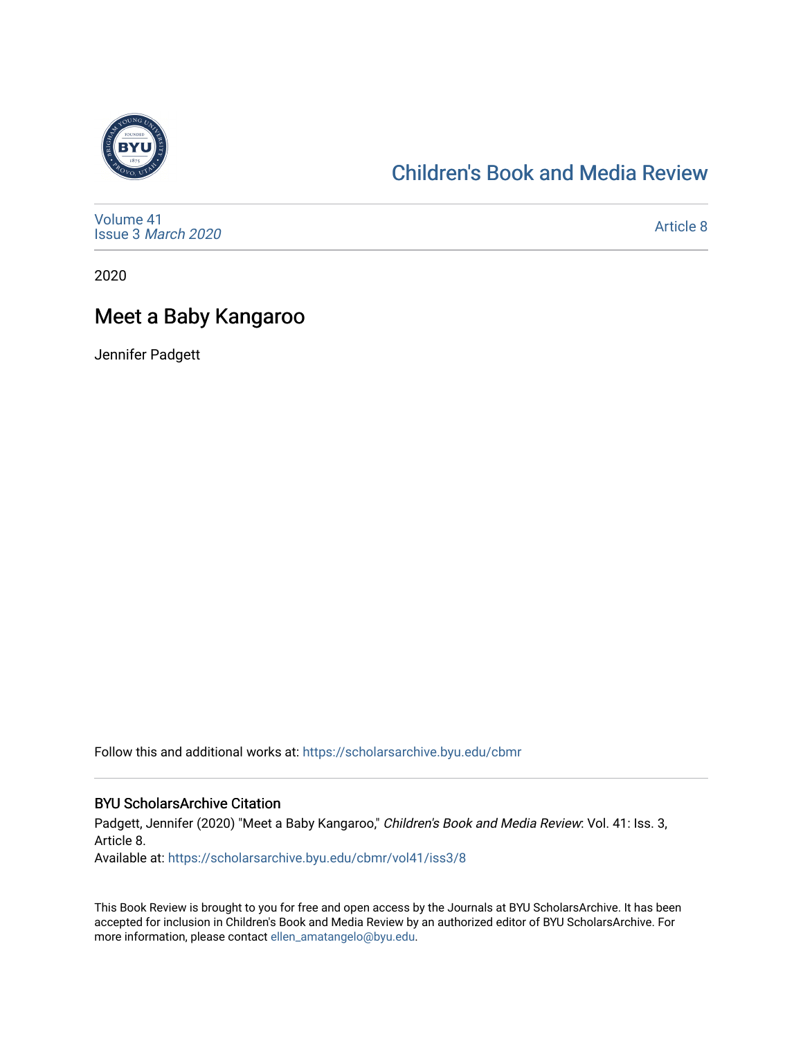

## [Children's Book and Media Review](https://scholarsarchive.byu.edu/cbmr)

[Volume 41](https://scholarsarchive.byu.edu/cbmr/vol41) Issue 3 [March 2020](https://scholarsarchive.byu.edu/cbmr/vol41/iss3)

[Article 8](https://scholarsarchive.byu.edu/cbmr/vol41/iss3/8) 

2020

## Meet a Baby Kangaroo

Jennifer Padgett

Follow this and additional works at: [https://scholarsarchive.byu.edu/cbmr](https://scholarsarchive.byu.edu/cbmr?utm_source=scholarsarchive.byu.edu%2Fcbmr%2Fvol41%2Fiss3%2F8&utm_medium=PDF&utm_campaign=PDFCoverPages) 

more information, please contact [ellen\\_amatangelo@byu.edu.](mailto:ellen_amatangelo@byu.edu)

#### BYU ScholarsArchive Citation

Padgett, Jennifer (2020) "Meet a Baby Kangaroo," Children's Book and Media Review: Vol. 41: Iss. 3, Article 8. Available at: [https://scholarsarchive.byu.edu/cbmr/vol41/iss3/8](https://scholarsarchive.byu.edu/cbmr/vol41/iss3/8?utm_source=scholarsarchive.byu.edu%2Fcbmr%2Fvol41%2Fiss3%2F8&utm_medium=PDF&utm_campaign=PDFCoverPages) 

This Book Review is brought to you for free and open access by the Journals at BYU ScholarsArchive. It has been accepted for inclusion in Children's Book and Media Review by an authorized editor of BYU ScholarsArchive. For